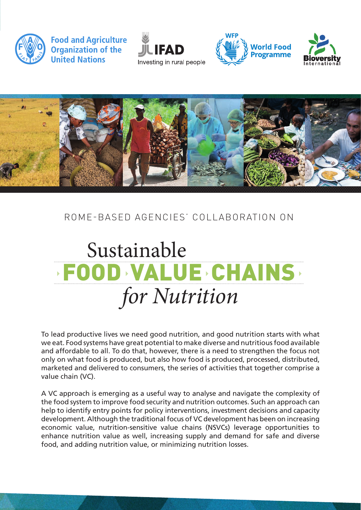

**Food and Agriculture Organization of the United Nations** 









## Rome-based Agencies' collaboration on

# Sustainable FOOD VALUE CHAINS *for Nutrition*  $\rightarrow$  FUULD  $\rightarrow$  VALUE  $\rightarrow$  LFIAINS  $\rightarrow$

To lead productive lives we need good nutrition, and good nutrition starts with what we eat. Food systems have great potential to make diverse and nutritious food available and affordable to all. To do that, however, there is a need to strengthen the focus not only on what food is produced, but also how food is produced, processed, distributed, marketed and delivered to consumers, the series of activities that together comprise a value chain (VC).

A VC approach is emerging as a useful way to analyse and navigate the complexity of the food system to improve food security and nutrition outcomes. Such an approach can help to identify entry points for policy interventions, investment decisions and capacity development. Although the traditional focus of VC development has been on increasing economic value, nutrition-sensitive value chains (NSVCs) leverage opportunities to enhance nutrition value as well, increasing supply and demand for safe and diverse food, and adding nutrition value, or minimizing nutrition losses.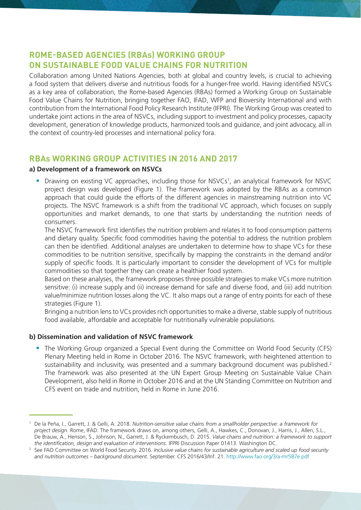### **Rome-based Agencies (RBAs) Working Group on Sustainable Food Value Chains for Nutrition**

Collaboration among United Nations Agencies, both at global and country levels, is crucial to achieving a food system that delivers diverse and nutritious foods for a hunger-free world. Having identified NSVCs as a key area of collaboration, the Rome-based Agencies (RBAs) formed a Working Group on Sustainable Food Value Chains for Nutrition, bringing together FAO, IFAD, WFP and Bioversity International and with contribution from the International Food Policy Research Institute (IFPRI). The Working Group was created to undertake joint actions in the area of NSVCs, including support to investment and policy processes, capacity development, generation of knowledge products, harmonized tools and guidance, and joint advocacy, all in the context of country-led processes and international policy fora.

#### **RBAs Working Group Activities in 2016 and 2017**

#### **a) Development of a framework on NSVCs**

• Drawing on existing VC approaches, including those for NSVCs<sup>1</sup>, an analytical framework for NSVC project design was developed (Figure 1). The framework was adopted by the RBAs as a common approach that could guide the efforts of the different agencies in mainstreaming nutrition into VC projects. The NSVC framework is a shift from the traditional VC approach, which focuses on supply opportunities and market demands, to one that starts by understanding the nutrition needs of consumers.

The NSVC framework first identifies the nutrition problem and relates it to food consumption patterns and dietary quality. Specific food commodities having the potential to address the nutrition problem can then be identified. Additional analyses are undertaken to determine how to shape VCs for these commodities to be nutrition sensitive, specifically by mapping the constraints in the demand and/or supply of specific foods. It is particularly important to consider the development of VCs for multiple commodities so that together they can create a healthier food system.

Based on these analyses, the framework proposes three possible strategies to make VCs more nutrition sensitive: (i) increase supply and (ii) increase demand for safe and diverse food, and (iii) add nutrition value/minimize nutrition losses along the VC. It also maps out a range of entry points for each of these strategies (Figure 1).

Bringing a nutrition lens to VCs provides rich opportunities to make a diverse, stable supply of nutritious food available, affordable and acceptable for nutritionally vulnerable populations.

#### **b) Dissemination and validation of NSVC framework**

 The Working Group organized a Special Event during the Committee on World Food Security (CFS) Plenary Meeting held in Rome in October 2016. The NSVC framework, with heightened attention to sustainability and inclusivity, was presented and a summary background document was published.<sup>2</sup> The framework was also presented at the UN Expert Group Meeting on Sustainable Value Chain Development, also held in Rome in October 2016 and at the UN Standing Committee on Nutrition and CFS event on trade and nutrition, held in Rome in June 2016.

<sup>1</sup> De la Peña, I., Garrett, J. & Gelli, A. 2018. *Nutrition-sensitive value chains from a smallholder perspective: a framework for project design*. Rome, IFAD. The framework draws on, among others, Gelli, A., Hawkes, C., Donovan, J., Harris, J., Allen, S.L., De Brauw, A., Henson, S., Johnson, N., Garrett, J. & Ryckembusch, D. 2015. *Value chains and nutrition: a framework to support the identification, design and evaluation of interventions*. IFPRI Discussion Paper 01413. Washington DC.

<sup>&</sup>lt;sup>2</sup> See FAO Committee on World Food Security. 2016. Inclusive value chains for sustainable agriculture and scaled up food security *and nutrition outcomes – background document*. September. CFS 2016/43/Inf. 21. http://www.fao.org/3/a-mr587e.pdf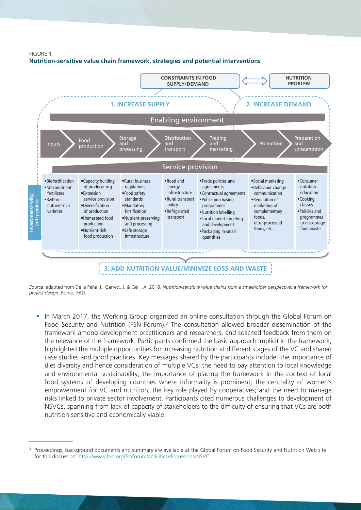FIGURE 1 **Nutrition-sensitive value chain framework, strategies and potential interventions**



*Source*: adapted from De la Peña, I., Garrett, J. & Gelli, A. 2018. *Nutrition-sensitive value chains from a smallholder perspective: a framework for project design*. Rome, IFAD.

In March 2017, the Working Group organized an online consultation through the Global Forum on Food Security and Nutrition (FSN Forum).<sup>3</sup> The consultation allowed broader dissemination of the framework among development practitioners and researchers, and solicited feedback from them on the relevance of the framework. Participants confirmed the basic approach implicit in the framework, highlighted the multiple opportunities for increasing nutrition at different stages of the VC and shared case studies and good practices. Key messages shared by the participants include: the importance of diet diversity and hence consideration of multiple VCs; the need to pay attention to local knowledge and environmental sustainability; the importance of placing the framework in the context of local food systems of developing countries where informality is prominent; the centrality of women's empowerment for VC and nutrition; the key role played by cooperatives; and the need to manage risks linked to private sector involvement. Participants cited numerous challenges to development of NSVCs, spanning from lack of capacity of stakeholders to the difficulty of ensuring that VCs are both nutrition sensitive and economically viable.

<sup>3</sup> Proceedings, background documents and summary are available at the Global Forum on Food Security and Nutrition Web site for this discussion. http://www.fao.org/fsnforum/activities/discussions/NSVC